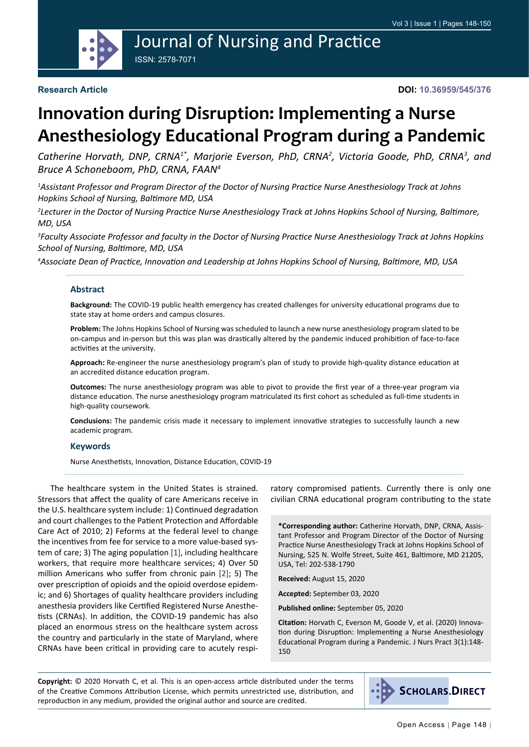# Journal of Nursing and Practice ISSN: 2578-7071

**DOI: 10.36959/545/376**

# **Innovation during Disruption: Implementing a Nurse Anesthesiology Educational Program during a Pandemic**

Catherine Horvath, DNP, CRNA<sup>1\*</sup>, Marjorie Everson, PhD, CRNA<sup>2</sup>, Victoria Goode, PhD, CRNA<sup>3</sup>, and *Bruce A Schoneboom, PhD, CRNA, FAAN4*

*1 Assistant Professor and Program Director of the Doctor of Nursing Practice Nurse Anesthesiology Track at Johns Hopkins School of Nursing, Baltimore MD, USA*

*2 Lecturer in the Doctor of Nursing Practice Nurse Anesthesiology Track at Johns Hopkins School of Nursing, Baltimore, MD, USA*

*3 Faculty Associate Professor and faculty in the Doctor of Nursing Practice Nurse Anesthesiology Track at Johns Hopkins School of Nursing, Baltimore, MD, USA*

*4 Associate Dean of Practice, Innovation and Leadership at Johns Hopkins School of Nursing, Baltimore, MD, USA*

#### **Abstract**

**Background:** The COVID-19 public health emergency has created challenges for university educational programs due to state stay at home orders and campus closures.

**Problem:** The Johns Hopkins School of Nursing was scheduled to launch a new nurse anesthesiology program slated to be on-campus and in-person but this was plan was drastically altered by the pandemic induced prohibition of face-to-face activities at the university.

**Approach:** Re-engineer the nurse anesthesiology program's plan of study to provide high-quality distance education at an accredited distance education program.

**Outcomes:** The nurse anesthesiology program was able to pivot to provide the first year of a three-year program via distance education. The nurse anesthesiology program matriculated its first cohort as scheduled as full-time students in high-quality coursework.

**Conclusions:** The pandemic crisis made it necessary to implement innovative strategies to successfully launch a new academic program.

#### **Keywords**

Nurse Anesthetists, Innovation, Distance Education, COVID-19

The healthcare system in the United States is strained. Stressors that affect the quality of care Americans receive in the U.S. healthcare system include: 1) Continued degradation and court challenges to the Patient Protection and Affordable Care Act of 2010; 2) Feforms at the federal level to change the incentives from fee for service to a more value-based system of care; 3) The aging population [\[1](#page-2-0)], including healthcare workers, that require more healthcare services; 4) Over 50 million Americans who suffer from chronic pain [\[2](#page-2-1)]; 5) The over prescription of opioids and the opioid overdose epidemic; and 6) Shortages of quality healthcare providers including anesthesia providers like Certified Registered Nurse Anesthetists (CRNAs). In addition, the COVID-19 pandemic has also placed an enormous stress on the healthcare system across the country and particularly in the state of Maryland, where CRNAs have been critical in providing care to acutely respi-

ratory compromised patients. Currently there is only one civilian CRNA educational program contributing to the state

**\*Corresponding author:** Catherine Horvath, DNP, CRNA, Assistant Professor and Program Director of the Doctor of Nursing Practice Nurse Anesthesiology Track at Johns Hopkins School of Nursing, 525 N. Wolfe Street, Suite 461, Baltimore, MD 21205, USA, Tel: 202-538-1790

**Received:** August 15, 2020

**Accepted:** September 03, 2020

**Published online:** September 05, 2020

**Citation:** Horvath C, Everson M, Goode V, et al. (2020) Innovation during Disruption: Implementing a Nurse Anesthesiology Educational Program during a Pandemic. J Nurs Pract 3(1):148- 150

**Copyright:** © 2020 Horvath C, et al. This is an open-access article distributed under the terms of the Creative Commons Attribution License, which permits unrestricted use, distribution, and reproduction in any medium, provided the original author and source are credited.

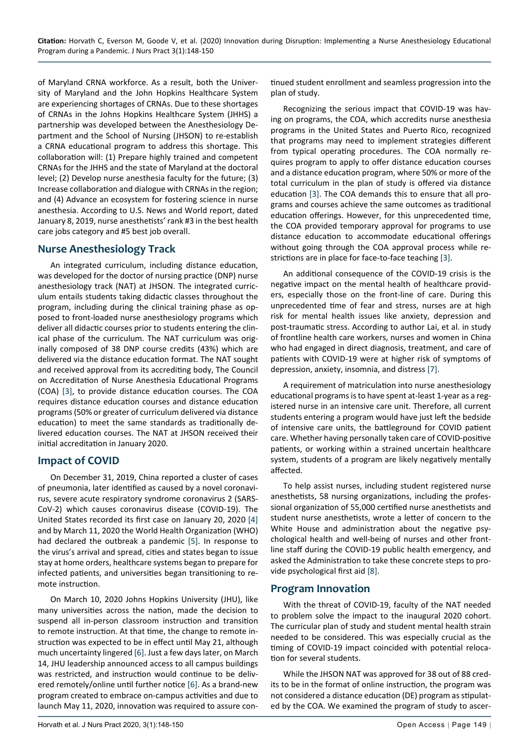of Maryland CRNA workforce. As a result, both the University of Maryland and the John Hopkins Healthcare System are experiencing shortages of CRNAs. Due to these shortages of CRNAs in the Johns Hopkins Healthcare System (JHHS) a partnership was developed between the Anesthesiology Department and the School of Nursing (JHSON) to re-establish a CRNA educational program to address this shortage. This collaboration will: (1) Prepare highly trained and competent CRNAs for the JHHS and the state of Maryland at the doctoral level; (2) Develop nurse anesthesia faculty for the future; (3) Increase collaboration and dialogue with CRNAs in the region; and (4) Advance an ecosystem for fostering science in nurse anesthesia. According to U.S. News and World report, dated January 8, 2019, nurse anesthetists' rank #3 in the best health care jobs category and #5 best job overall.

## **Nurse Anesthesiology Track**

An integrated curriculum, including distance education, was developed for the doctor of nursing practice (DNP) nurse anesthesiology track (NAT) at JHSON. The integrated curriculum entails students taking didactic classes throughout the program, including during the clinical training phase as opposed to front-loaded nurse anesthesiology programs which deliver all didactic courses prior to students entering the clinical phase of the curriculum. The NAT curriculum was originally composed of 38 DNP course credits (43%) which are delivered via the distance education format. The NAT sought and received approval from its accrediting body, The Council on Accreditation of Nurse Anesthesia Educational Programs (COA) [\[3](#page-2-2)], to provide distance education courses. The COA requires distance education courses and distance education programs (50% or greater of curriculum delivered via distance education) to meet the same standards as traditionally delivered education courses. The NAT at JHSON received their initial accreditation in January 2020.

#### **Impact of COVID**

On December 31, 2019, China reported a cluster of cases of pneumonia, later identified as caused by a novel coronavirus, severe acute respiratory syndrome coronavirus 2 (SARS-CoV-2) which causes coronavirus disease (COVID-19). The United States recorded its first case on January 20, 2020 [\[4](#page-2-5)] and by March 11, 2020 the World Health Organization (WHO) had declared the outbreak a pandemic [[5\]](#page-2-6). In response to the virus's arrival and spread, cities and states began to issue stay at home orders, healthcare systems began to prepare for infected patients, and universities began transitioning to remote instruction.

On March 10, 2020 Johns Hopkins University (JHU), like many universities across the nation, made the decision to suspend all in-person classroom instruction and transition to remote instruction. At that time, the change to remote instruction was expected to be in effect until May 21, although much uncertainty lingered [\[6](#page-2-7)]. Just a few days later, on March 14, JHU leadership announced access to all campus buildings was restricted, and instruction would continue to be delivered remotely/online until further notice [\[6](#page-2-7)]. As a brand-new program created to embrace on-campus activities and due to launch May 11, 2020, innovation was required to assure continued student enrollment and seamless progression into the plan of study.

Recognizing the serious impact that COVID-19 was having on programs, the COA, which accredits nurse anesthesia programs in the United States and Puerto Rico, recognized that programs may need to implement strategies different from typical operating procedures. The COA normally requires program to apply to offer distance education courses and a distance education program, where 50% or more of the total curriculum in the plan of study is offered via distance education [\[3](#page-2-2)]. The COA demands this to ensure that all programs and courses achieve the same outcomes as traditional education offerings. However, for this unprecedented time, the COA provided temporary approval for programs to use distance education to accommodate educational offerings without going through the COA approval process while restrictions are in place for face-to-face teaching [[3\]](#page-2-2).

An additional consequence of the COVID-19 crisis is the negative impact on the mental health of healthcare providers, especially those on the front-line of care. During this unprecedented time of fear and stress, nurses are at high risk for mental health issues like anxiety, depression and post-traumatic stress. According to author Lai, et al. in study of frontline health care workers, nurses and women in China who had engaged in direct diagnosis, treatment, and care of patients with COVID-19 were at higher risk of symptoms of depression, anxiety, insomnia, and distress [\[7](#page-2-3)].

A requirement of matriculation into nurse anesthesiology educational programs is to have spent at-least 1-year as a registered nurse in an intensive care unit. Therefore, all current students entering a program would have just left the bedside of intensive care units, the battleground for COVID patient care. Whether having personally taken care of COVID-positive patients, or working within a strained uncertain healthcare system, students of a program are likely negatively mentally affected.

To help assist nurses, including student registered nurse anesthetists, 58 nursing organizations, including the professional organization of 55,000 certified nurse anesthetists and student nurse anesthetists, wrote a letter of concern to the White House and administration about the negative psychological health and well-being of nurses and other frontline staff during the COVID-19 public health emergency, and asked the Administration to take these concrete steps to provide psychological first aid [[8\]](#page-2-4).

#### **Program Innovation**

With the threat of COVID-19, faculty of the NAT needed to problem solve the impact to the inaugural 2020 cohort. The curricular plan of study and student mental health strain needed to be considered. This was especially crucial as the timing of COVID-19 impact coincided with potential relocation for several students.

While the JHSON NAT was approved for 38 out of 88 credits to be in the format of online instruction, the program was not considered a distance education (DE) program as stipulated by the COA. We examined the program of study to ascer-